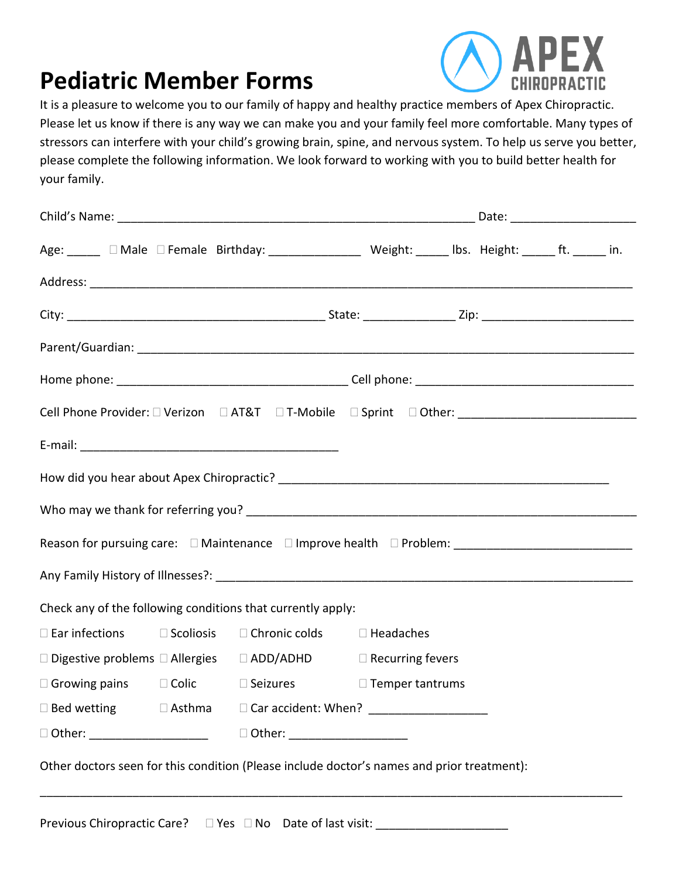# **Pediatric Member Forms**



It is a pleasure to welcome you to our family of happy and healthy practice members of Apex Chiropractic. Please let us know if there is any way we can make you and your family feel more comfortable. Many types of stressors can interfere with your child's growing brain, spine, and nervous system. To help us serve you better, please complete the following information. We look forward to working with you to build better health for your family.

|  | Age: ______ □ Male □ Female Birthday: __________________ Weight: ______ lbs. Height: ______ ft. ______ in. |                                  |  |  |
|--|------------------------------------------------------------------------------------------------------------|----------------------------------|--|--|
|  |                                                                                                            |                                  |  |  |
|  |                                                                                                            |                                  |  |  |
|  |                                                                                                            |                                  |  |  |
|  |                                                                                                            |                                  |  |  |
|  | Cell Phone Provider: □ Verizon □ AT&T □ T-Mobile □ Sprint □ Other: ________________________________        |                                  |  |  |
|  |                                                                                                            |                                  |  |  |
|  |                                                                                                            |                                  |  |  |
|  |                                                                                                            |                                  |  |  |
|  |                                                                                                            |                                  |  |  |
|  |                                                                                                            |                                  |  |  |
|  | Check any of the following conditions that currently apply:                                                |                                  |  |  |
|  | $\Box$ Ear infections $\Box$ Scoliosis $\Box$ Chronic colds $\Box$ Headaches                               |                                  |  |  |
|  | □ Digestive problems □ Allergies □ ADD/ADHD □ Recurring fevers                                             |                                  |  |  |
|  | $\Box$ Growing pains $\Box$ Colic $\Box$ Seizures $\Box$ Temper tantrums                                   |                                  |  |  |
|  |                                                                                                            |                                  |  |  |
|  |                                                                                                            | D Other: _______________________ |  |  |

Previous Chiropractic Care?  $\Box$  Yes  $\Box$  No Date of last visit: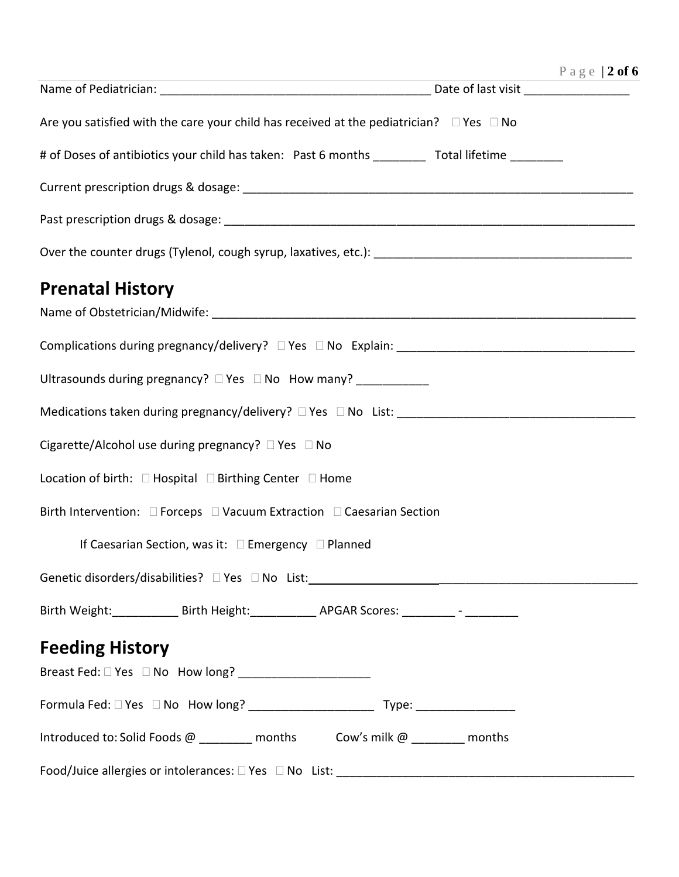|                                                                                                               | Page   2 of 6 |
|---------------------------------------------------------------------------------------------------------------|---------------|
|                                                                                                               |               |
| Are you satisfied with the care your child has received at the pediatrician? $\square$ Yes $\square$ No       |               |
| # of Doses of antibiotics your child has taken: Past 6 months __________ Total lifetime ________              |               |
|                                                                                                               |               |
|                                                                                                               |               |
|                                                                                                               |               |
| <b>Prenatal History</b>                                                                                       |               |
|                                                                                                               |               |
|                                                                                                               |               |
| Ultrasounds during pregnancy? $\Box$ Yes $\Box$ No How many?                                                  |               |
|                                                                                                               |               |
| Cigarette/Alcohol use during pregnancy? $\Box$ Yes $\Box$ No                                                  |               |
| Location of birth: □ Hospital □ Birthing Center □ Home                                                        |               |
| Birth Intervention: □ Forceps □ Vacuum Extraction □ Caesarian Section                                         |               |
| If Caesarian Section, was it: $\square$ Emergency $\square$ Planned                                           |               |
| Genetic disorders/disabilities? DYes DNo List: 2000 2010 2020 2020 2020 2020 2021 2021 2021 2021 2021 2021 20 |               |
| Birth Weight: _____________ Birth Height: ____________ APGAR Scores: _________- - __________                  |               |
| <b>Feeding History</b>                                                                                        |               |
|                                                                                                               |               |
|                                                                                                               |               |
| Introduced to: Solid Foods @ ________ months Cow's milk @ ________ months                                     |               |
|                                                                                                               |               |

Food/Juice allergies or intolerances: Yes No List: \_\_\_\_\_\_\_\_\_\_\_\_\_\_\_\_\_\_\_\_\_\_\_\_\_\_\_\_\_\_\_\_\_\_\_\_\_\_\_\_\_\_\_\_\_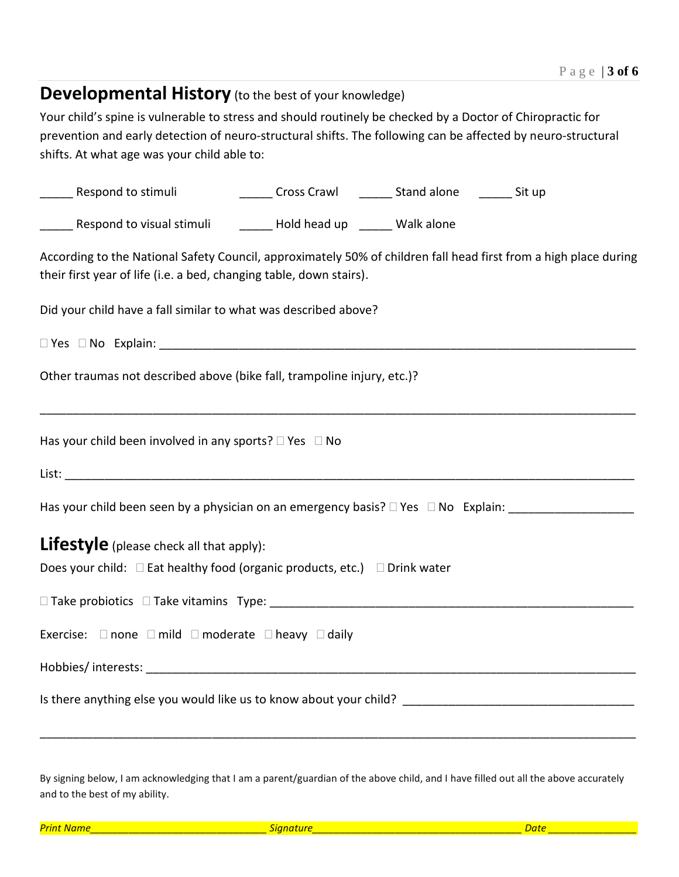# **Developmental History** (to the best of your knowledge)

Your child's spine is vulnerable to stress and should routinely be checked by a Doctor of Chiropractic for prevention and early detection of neuro-structural shifts. The following can be affected by neuro-structural shifts. At what age was your child able to:

| ______ Cross Crawl _______ Stand alone _______ Sit up<br>________ Respond to stimuli                                                                                                    |
|-----------------------------------------------------------------------------------------------------------------------------------------------------------------------------------------|
| ______ Respond to visual stimuli _________ Hold head up ______ Walk alone                                                                                                               |
| According to the National Safety Council, approximately 50% of children fall head first from a high place during<br>their first year of life (i.e. a bed, changing table, down stairs). |
| Did your child have a fall similar to what was described above?                                                                                                                         |
|                                                                                                                                                                                         |
| Other traumas not described above (bike fall, trampoline injury, etc.)?                                                                                                                 |
| Has your child been involved in any sports? $\square$ Yes $\square$ No                                                                                                                  |
|                                                                                                                                                                                         |
| Has your child been seen by a physician on an emergency basis? □ Yes □ No Explain: ________________                                                                                     |
| Lifestyle (please check all that apply):                                                                                                                                                |
| Does your child: $\square$ Eat healthy food (organic products, etc.) $\square$ Drink water                                                                                              |
|                                                                                                                                                                                         |
| Exercise: □ none □ mild □ moderate □ heavy □ daily                                                                                                                                      |
|                                                                                                                                                                                         |
|                                                                                                                                                                                         |

By signing below, I am acknowledging that I am a parent/guardian of the above child, and I have filled out all the above accurately and to the best of my ability.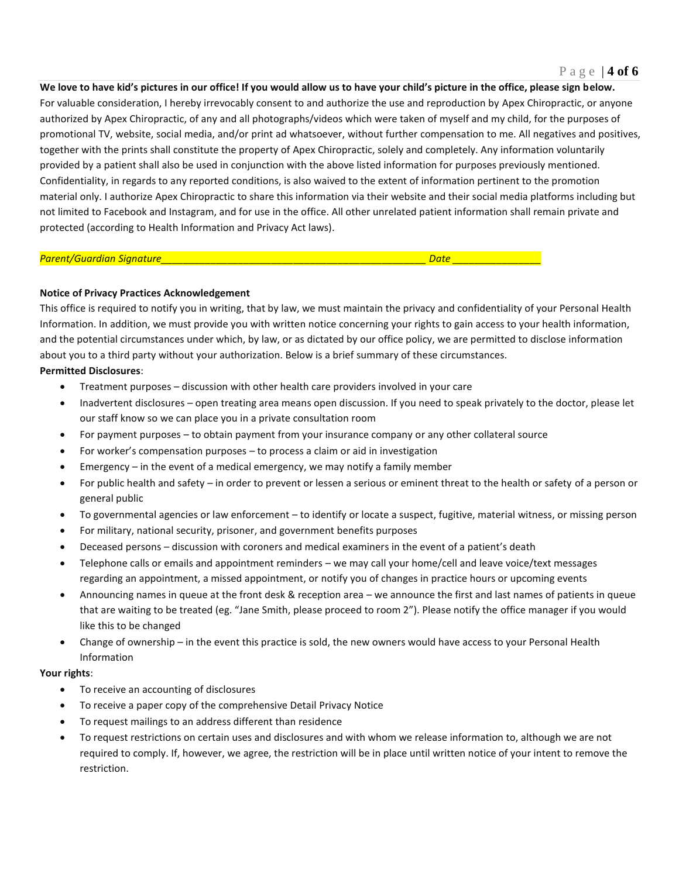**We love to have kid's pictures in our office! If you would allow us to have your child's picture in the office, please sign below.** For valuable consideration, I hereby irrevocably consent to and authorize the use and reproduction by Apex Chiropractic, or anyone authorized by Apex Chiropractic, of any and all photographs/videos which were taken of myself and my child, for the purposes of promotional TV, website, social media, and/or print ad whatsoever, without further compensation to me. All negatives and positives, together with the prints shall constitute the property of Apex Chiropractic, solely and completely. Any information voluntarily provided by a patient shall also be used in conjunction with the above listed information for purposes previously mentioned. Confidentiality, in regards to any reported conditions, is also waived to the extent of information pertinent to the promotion material only. I authorize Apex Chiropractic to share this information via their website and their social media platforms including but not limited to Facebook and Instagram, and for use in the office. All other unrelated patient information shall remain private and protected (according to Health Information and Privacy Act laws).

# *Parent/Guardian Signature\_\_\_\_\_\_\_\_\_\_\_\_\_\_\_\_\_\_\_\_\_\_\_\_\_\_\_\_\_\_\_\_\_\_\_\_\_\_\_\_\_\_\_\_\_\_\_\_ Date \_\_\_\_\_\_\_\_\_\_\_\_\_\_\_\_*

# **Notice of Privacy Practices Acknowledgement**

This office is required to notify you in writing, that by law, we must maintain the privacy and confidentiality of your Personal Health Information. In addition, we must provide you with written notice concerning your rights to gain access to your health information, and the potential circumstances under which, by law, or as dictated by our office policy, we are permitted to disclose information about you to a third party without your authorization. Below is a brief summary of these circumstances.

# **Permitted Disclosures**:

- Treatment purposes discussion with other health care providers involved in your care
- Inadvertent disclosures open treating area means open discussion. If you need to speak privately to the doctor, please let our staff know so we can place you in a private consultation room
- For payment purposes to obtain payment from your insurance company or any other collateral source
- For worker's compensation purposes to process a claim or aid in investigation
- Emergency in the event of a medical emergency, we may notify a family member
- For public health and safety in order to prevent or lessen a serious or eminent threat to the health or safety of a person or general public
- To governmental agencies or law enforcement to identify or locate a suspect, fugitive, material witness, or missing person
- For military, national security, prisoner, and government benefits purposes
- Deceased persons discussion with coroners and medical examiners in the event of a patient's death
- Telephone calls or emails and appointment reminders we may call your home/cell and leave voice/text messages regarding an appointment, a missed appointment, or notify you of changes in practice hours or upcoming events
- Announcing names in queue at the front desk & reception area we announce the first and last names of patients in queue that are waiting to be treated (eg. "Jane Smith, please proceed to room 2"). Please notify the office manager if you would like this to be changed
- Change of ownership in the event this practice is sold, the new owners would have access to your Personal Health Information

# **Your rights**:

- To receive an accounting of disclosures
- To receive a paper copy of the comprehensive Detail Privacy Notice
- To request mailings to an address different than residence
- To request restrictions on certain uses and disclosures and with whom we release information to, although we are not required to comply. If, however, we agree, the restriction will be in place until written notice of your intent to remove the restriction.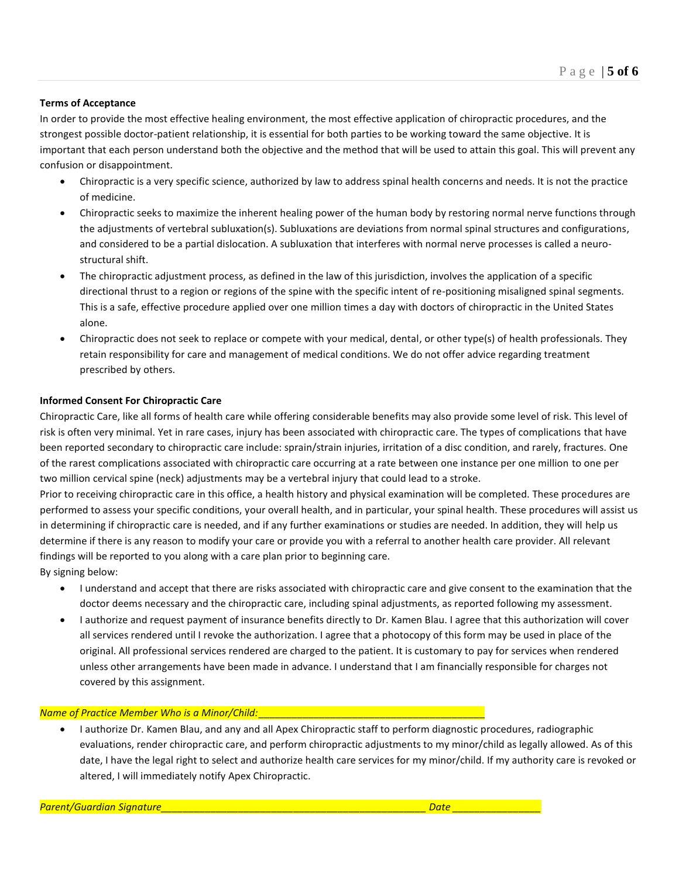# **Terms of Acceptance**

In order to provide the most effective healing environment, the most effective application of chiropractic procedures, and the strongest possible doctor-patient relationship, it is essential for both parties to be working toward the same objective. It is important that each person understand both the objective and the method that will be used to attain this goal. This will prevent any confusion or disappointment.

- Chiropractic is a very specific science, authorized by law to address spinal health concerns and needs. It is not the practice of medicine.
- Chiropractic seeks to maximize the inherent healing power of the human body by restoring normal nerve functions through the adjustments of vertebral subluxation(s). Subluxations are deviations from normal spinal structures and configurations, and considered to be a partial dislocation. A subluxation that interferes with normal nerve processes is called a neurostructural shift.
- The chiropractic adjustment process, as defined in the law of this jurisdiction, involves the application of a specific directional thrust to a region or regions of the spine with the specific intent of re-positioning misaligned spinal segments. This is a safe, effective procedure applied over one million times a day with doctors of chiropractic in the United States alone.
- Chiropractic does not seek to replace or compete with your medical, dental, or other type(s) of health professionals. They retain responsibility for care and management of medical conditions. We do not offer advice regarding treatment prescribed by others.

# **Informed Consent For Chiropractic Care**

Chiropractic Care, like all forms of health care while offering considerable benefits may also provide some level of risk. This level of risk is often very minimal. Yet in rare cases, injury has been associated with chiropractic care. The types of complications that have been reported secondary to chiropractic care include: sprain/strain injuries, irritation of a disc condition, and rarely, fractures. One of the rarest complications associated with chiropractic care occurring at a rate between one instance per one million to one per two million cervical spine (neck) adjustments may be a vertebral injury that could lead to a stroke.

Prior to receiving chiropractic care in this office, a health history and physical examination will be completed. These procedures are performed to assess your specific conditions, your overall health, and in particular, your spinal health. These procedures will assist us in determining if chiropractic care is needed, and if any further examinations or studies are needed. In addition, they will help us determine if there is any reason to modify your care or provide you with a referral to another health care provider. All relevant findings will be reported to you along with a care plan prior to beginning care.

By signing below:

- I understand and accept that there are risks associated with chiropractic care and give consent to the examination that the doctor deems necessary and the chiropractic care, including spinal adjustments, as reported following my assessment.
- I authorize and request payment of insurance benefits directly to Dr. Kamen Blau. I agree that this authorization will cover all services rendered until I revoke the authorization. I agree that a photocopy of this form may be used in place of the original. All professional services rendered are charged to the patient. It is customary to pay for services when rendered unless other arrangements have been made in advance. I understand that I am financially responsible for charges not covered by this assignment.

# *Name of Practice Member Who is a Minor/Child:*\_\_\_\_\_\_\_\_\_\_\_\_\_\_\_\_\_\_\_\_\_\_\_\_\_\_\_\_\_\_\_\_\_\_\_\_\_\_\_\_\_

• I authorize Dr. Kamen Blau, and any and all Apex Chiropractic staff to perform diagnostic procedures, radiographic evaluations, render chiropractic care, and perform chiropractic adjustments to my minor/child as legally allowed. As of this date, I have the legal right to select and authorize health care services for my minor/child. If my authority care is revoked or altered, I will immediately notify Apex Chiropractic.